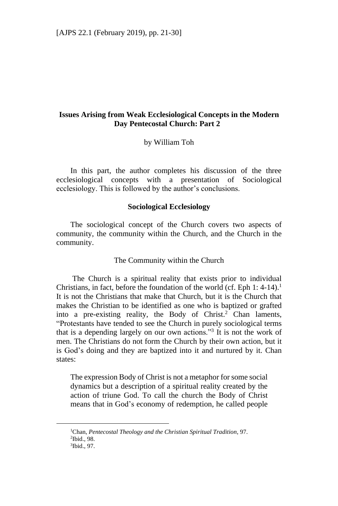# **Issues Arising from Weak Ecclesiological Concepts in the Modern Day Pentecostal Church: Part 2**

by William Toh

In this part, the author completes his discussion of the three ecclesiological concepts with a presentation of Sociological ecclesiology. This is followed by the author's conclusions.

### **Sociological Ecclesiology**

The sociological concept of the Church covers two aspects of community, the community within the Church, and the Church in the community.

### The Community within the Church

The Church is a spiritual reality that exists prior to individual Christians, in fact, before the foundation of the world (cf. Eph  $1: 4-14$ ).<sup>1</sup> It is not the Christians that make that Church, but it is the Church that makes the Christian to be identified as one who is baptized or grafted into a pre-existing reality, the Body of Christ.<sup>2</sup> Chan laments, "Protestants have tended to see the Church in purely sociological terms that is a depending largely on our own actions."<sup>3</sup> It is not the work of men. The Christians do not form the Church by their own action, but it is God's doing and they are baptized into it and nurtured by it. Chan states:

The expression Body of Christ is not a metaphor for some social dynamics but a description of a spiritual reality created by the action of triune God. To call the church the Body of Christ means that in God's economy of redemption, he called people

<sup>1</sup>Chan, *Pentecostal Theology and the Christian Spiritual Tradition*, 97. 2 Ibid., 98.

<sup>3</sup> Ibid., 97.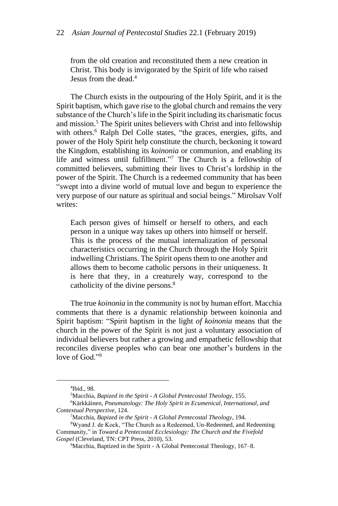from the old creation and reconstituted them a new creation in Christ. This body is invigorated by the Spirit of life who raised Jesus from the dead.<sup>4</sup>

The Church exists in the outpouring of the Holy Spirit, and it is the Spirit baptism, which gave rise to the global church and remains the very substance of the Church's life in the Spirit including its charismatic focus and mission.<sup>5</sup> The Spirit unites believers with Christ and into fellowship with others.<sup>6</sup> Ralph Del Colle states, "the graces, energies, gifts, and power of the Holy Spirit help constitute the church, beckoning it toward the Kingdom, establishing its *koinonia* or communion, and enabling its life and witness until fulfillment."<sup>7</sup> The Church is a fellowship of committed believers, submitting their lives to Christ's lordship in the power of the Spirit. The Church is a redeemed community that has been "swept into a divine world of mutual love and begun to experience the very purpose of our nature as spiritual and social beings." Mirolsav Volf writes:

Each person gives of himself or herself to others, and each person in a unique way takes up others into himself or herself. This is the process of the mutual internalization of personal characteristics occurring in the Church through the Holy Spirit indwelling Christians. The Spirit opens them to one another and allows them to become catholic persons in their uniqueness. It is here that they, in a creaturely way, correspond to the catholicity of the divine persons.<sup>8</sup>

The true *koinonia* in the community is not by human effort. Macchia comments that there is a dynamic relationship between koinonia and Spirit baptism: "Spirit baptism in the light *of koinonia* means that the church in the power of the Spirit is not just a voluntary association of individual believers but rather a growing and empathetic fellowship that reconciles diverse peoples who can bear one another's burdens in the love of God."<sup>9</sup>

<sup>4</sup> Ibid., 98.

<sup>5</sup>Macchia, *Bapized in the Spirit - A Global Pentecostal Theology*, 155.

<sup>6</sup>Kärkkäinen, *Pneumatology: The Holy Spirit in Ecumenical, International, and Contextual Perspective*, 124.

<sup>7</sup>Macchia, *Bapized in the Spirit - A Global Pentecostal Theology*, 194.

<sup>8</sup>Wyand J. de Kock, "The Church as a Redeemed, Un-Redeemed, and Redeeming Community," in *Toward a Pentecostal Ecclesiology: The Church and the Fivefold Gospel* (Cleveland, TN: CPT Press, 2010), 53.

<sup>9</sup>Macchia, Baptized in the Spirit - A Global Pentecostal Theology, 167–8.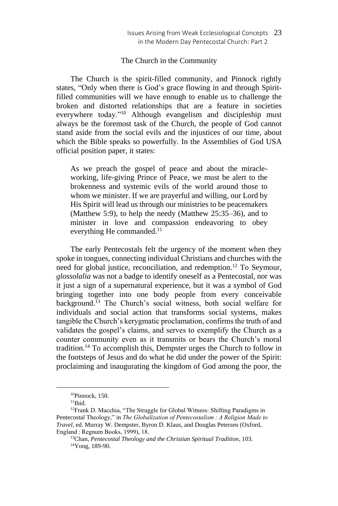#### The Church in the Community

The Church is the spirit-filled community, and Pinnock rightly states, "Only when there is God's grace flowing in and through Spiritfilled communities will we have enough to enable us to challenge the broken and distorted relationships that are a feature in societies everywhere today."<sup>10</sup> Although evangelism and discipleship must always be the foremost task of the Church, the people of God cannot stand aside from the social evils and the injustices of our time, about which the Bible speaks so powerfully. In the Assemblies of God USA official position paper, it states:

As we preach the gospel of peace and about the miracleworking, life-giving Prince of Peace, we must be alert to the brokenness and systemic evils of the world around those to whom we minister. If we are prayerful and willing, our Lord by His Spirit will lead us through our ministries to be peacemakers (Matthew 5:9), to help the needy (Matthew 25:35–36), and to minister in love and compassion endeavoring to obey everything He commanded.<sup>11</sup>

The early Pentecostals felt the urgency of the moment when they spoke in tongues, connecting individual Christians and churches with the need for global justice, reconciliation, and redemption.<sup>12</sup> To Seymour, *glossolalia* was not a badge to identify oneself as a Pentecostal, nor was it just a sign of a supernatural experience, but it was a symbol of God bringing together into one body people from every conceivable background.<sup>13</sup> The Church's social witness, both social welfare for individuals and social action that transforms social systems, makes tangible the Church's kerygmatic proclamation, confirms the truth of and validates the gospel's claims, and serves to exemplify the Church as a counter community even as it transmits or bears the Church's moral tradition.<sup>14</sup> To accomplish this, Dempster urges the Church to follow in the footsteps of Jesus and do what he did under the power of the Spirit: proclaiming and inaugurating the kingdom of God among the poor, the

<sup>10</sup>Pinnock, 150.

 $11$ Ibid.

<sup>&</sup>lt;sup>12</sup>Frank D. Macchia, "The Struggle for Global Witness: Shifting Paradigms in Pentecostal Theology," in *The Globalization of Pentecostalism : A Religion Made to Travel*, ed. Murray W. Dempster, Byron D. Klaus, and Douglas Petersen (Oxford, England : Regnum Books, 1999), 18.

<sup>13</sup>Chan, *Pentecostal Theology and the Christian Spiritual Tradition*, 103. 14Yong, 189-90.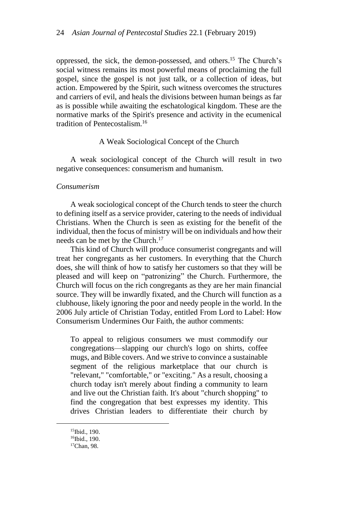oppressed, the sick, the demon-possessed, and others.<sup>15</sup> The Church's social witness remains its most powerful means of proclaiming the full gospel, since the gospel is not just talk, or a collection of ideas, but action. Empowered by the Spirit, such witness overcomes the structures and carriers of evil, and heals the divisions between human beings as far as is possible while awaiting the eschatological kingdom. These are the normative marks of the Spirit's presence and activity in the ecumenical tradition of Pentecostalism.<sup>16</sup>

## A Weak Sociological Concept of the Church

A weak sociological concept of the Church will result in two negative consequences: consumerism and humanism.

#### *Consumerism*

A weak sociological concept of the Church tends to steer the church to defining itself as a service provider, catering to the needs of individual Christians. When the Church is seen as existing for the benefit of the individual, then the focus of ministry will be on individuals and how their needs can be met by the Church.<sup>17</sup>

This kind of Church will produce consumerist congregants and will treat her congregants as her customers. In everything that the Church does, she will think of how to satisfy her customers so that they will be pleased and will keep on "patronizing" the Church. Furthermore, the Church will focus on the rich congregants as they are her main financial source. They will be inwardly fixated, and the Church will function as a clubhouse, likely ignoring the poor and needy people in the world. In the 2006 July article of Christian Today, entitled From Lord to Label: How Consumerism Undermines Our Faith, the author comments:

To appeal to religious consumers we must commodify our congregations—slapping our church's logo on shirts, coffee mugs, and Bible covers. And we strive to convince a sustainable segment of the religious marketplace that our church is "relevant," "comfortable," or "exciting." As a result, choosing a church today isn't merely about finding a community to learn and live out the Christian faith. It's about "church shopping" to find the congregation that best expresses my identity. This drives Christian leaders to differentiate their church by

<sup>15</sup>Ibid., 190.

<sup>&</sup>lt;sup>16</sup>Ibid., 190.

<sup>&</sup>lt;sup>17</sup>Chan, 98.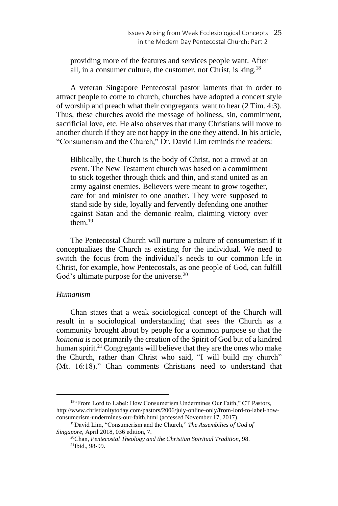providing more of the features and services people want. After all, in a consumer culture, the customer, not Christ, is king.<sup>18</sup>

A veteran Singapore Pentecostal pastor laments that in order to attract people to come to church, churches have adopted a concert style of worship and preach what their congregants want to hear (2 Tim. 4:3). Thus, these churches avoid the message of holiness, sin, commitment, sacrificial love, etc. He also observes that many Christians will move to another church if they are not happy in the one they attend. In his article, "Consumerism and the Church," Dr. David Lim reminds the readers:

Biblically, the Church is the body of Christ, not a crowd at an event. The New Testament church was based on a commitment to stick together through thick and thin, and stand united as an army against enemies. Believers were meant to grow together, care for and minister to one another. They were supposed to stand side by side, loyally and fervently defending one another against Satan and the demonic realm, claiming victory over them $19$ 

The Pentecostal Church will nurture a culture of consumerism if it conceptualizes the Church as existing for the individual. We need to switch the focus from the individual's needs to our common life in Christ, for example, how Pentecostals, as one people of God, can fulfill God's ultimate purpose for the universe.<sup>20</sup>

## *Humanism*

Chan states that a weak sociological concept of the Church will result in a sociological understanding that sees the Church as a community brought about by people for a common purpose so that the *koinonia* is not primarily the creation of the Spirit of God but of a kindred human spirit.<sup>21</sup> Congregants will believe that they are the ones who make the Church, rather than Christ who said, "I will build my church" (Mt. 16:18)." Chan comments Christians need to understand that

<sup>18&</sup>quot;From Lord to Label: How Consumerism Undermines Our Faith," CT Pastors, http://www.christianitytoday.com/pastors/2006/july-online-only/from-lord-to-label-howconsumerism-undermines-our-faith.html (accessed November 17, 2017).

<sup>19</sup>David Lim, "Consumerism and the Church," *The Assembilies of God of Singapore*, April 2018, 036 edition, 7.

<sup>20</sup>Chan, *Pentecostal Theology and the Christian Spiritual Tradition*, 98. 21Ibid., 98-99.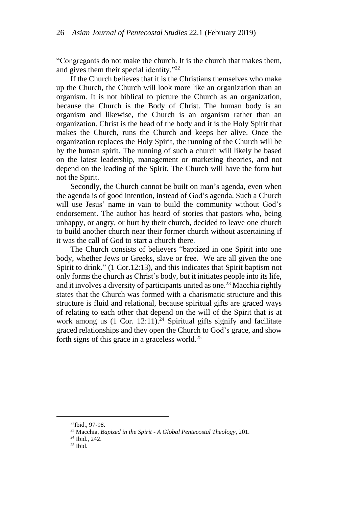"Congregants do not make the church. It is the church that makes them, and gives them their special identity."<sup>22</sup>

If the Church believes that it is the Christians themselves who make up the Church, the Church will look more like an organization than an organism. It is not biblical to picture the Church as an organization, because the Church is the Body of Christ. The human body is an organism and likewise, the Church is an organism rather than an organization. Christ is the head of the body and it is the Holy Spirit that makes the Church, runs the Church and keeps her alive. Once the organization replaces the Holy Spirit, the running of the Church will be by the human spirit. The running of such a church will likely be based on the latest leadership, management or marketing theories, and not depend on the leading of the Spirit. The Church will have the form but not the Spirit.

Secondly, the Church cannot be built on man's agenda, even when the agenda is of good intention, instead of God's agenda. Such a Church will use Jesus' name in vain to build the community without God's endorsement. The author has heard of stories that pastors who, being unhappy, or angry, or hurt by their church, decided to leave one church to build another church near their former church without ascertaining if it was the call of God to start a church there.

The Church consists of believers "baptized in one Spirit into one body, whether Jews or Greeks, slave or free. We are all given the one Spirit to drink." (1 Cor.12:13), and this indicates that Spirit baptism not only forms the church as Christ's body, but it initiates people into its life, and it involves a diversity of participants united as one.<sup>23</sup> Macchia rightly states that the Church was formed with a charismatic structure and this structure is fluid and relational, because spiritual gifts are graced ways of relating to each other that depend on the will of the Spirit that is at work among us  $(1 \text{ Cor. } 12:11).^{24}$  Spiritual gifts signify and facilitate graced relationships and they open the Church to God's grace, and show forth signs of this grace in a graceless world.<sup>25</sup>

<sup>22</sup>Ibid., 97-98.

<sup>23</sup> Macchia, *Bapized in the Spirit - A Global Pentecostal Theology*, 201.

<sup>24</sup> Ibid., 242.

 $25$  Ibid.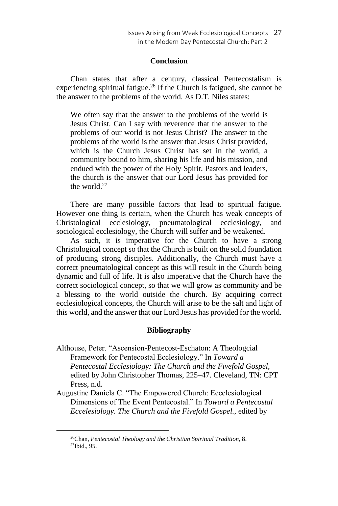#### **Conclusion**

Chan states that after a century, classical Pentecostalism is experiencing spiritual fatigue.<sup>26</sup> If the Church is fatigued, she cannot be the answer to the problems of the world. As D.T. Niles states:

We often say that the answer to the problems of the world is Jesus Christ. Can I say with reverence that the answer to the problems of our world is not Jesus Christ? The answer to the problems of the world is the answer that Jesus Christ provided, which is the Church Jesus Christ has set in the world, a community bound to him, sharing his life and his mission, and endued with the power of the Holy Spirit. Pastors and leaders, the church is the answer that our Lord Jesus has provided for the world. $27$ 

There are many possible factors that lead to spiritual fatigue. However one thing is certain, when the Church has weak concepts of Christological ecclesiology, pneumatological ecclesiology, and sociological ecclesiology, the Church will suffer and be weakened.

As such, it is imperative for the Church to have a strong Christological concept so that the Church is built on the solid foundation of producing strong disciples. Additionally, the Church must have a correct pneumatological concept as this will result in the Church being dynamic and full of life. It is also imperative that the Church have the correct sociological concept, so that we will grow as community and be a blessing to the world outside the church. By acquiring correct ecclesiological concepts, the Church will arise to be the salt and light of this world, and the answer that our Lord Jesus has provided for the world.

#### **Bibliography**

- Althouse, Peter. "Ascension-Pentecost-Eschaton: A Theologcial Framework for Pentecostal Ecclesiology." In *Toward a Pentecostal Ecclesiology: The Church and the Fivefold Gospel*, edited by John Christopher Thomas, 225–47. Cleveland, TN: CPT Press, n.d.
- Augustine Daniela C. "The Empowered Church: Eccelesiological Dimensions of The Event Pentecostal." In *Toward a Pentecostal Eccelesiology. The Church and the Fivefold Gospel.*, edited by

<sup>26</sup>Chan, *Pentecostal Theology and the Christian Spiritual Tradition*, 8.  $27$ Ibid., 95.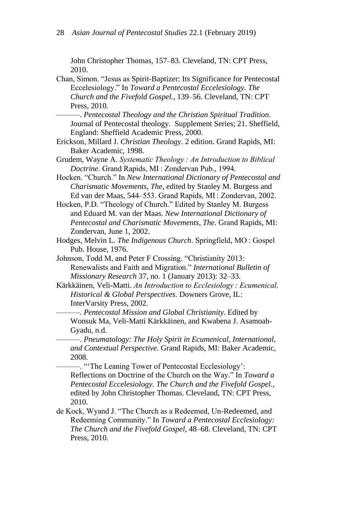John Christopher Thomas, 157–83. Cleveland, TN: CPT Press, 2010.

Chan, Simon. "Jesus as Spirit-Baptizer: Its Significance for Pentecostal Eccelesiology." In *Toward a Pentecostal Eccelesiology. The Church and the Fivefold Gospel.*, 139–56. Cleveland, TN: CPT Press, 2010.

———. *Pentecostal Theology and the Christian Spiritual Tradition*. Journal of Pentecostal theology. Supplement Series; 21. Sheffield, England: Sheffield Academic Press, 2000.

- Erickson, Millard J. *Christian Theology*. 2 edition. Grand Rapids, MI: Baker Academic, 1998.
- Grudem, Wayne A. *Systematic Theology : An Introduction to Biblical Doctrine*. Grand Rapids, MI : Zondervan Pub., 1994.
- Hocken. "Church." In *New International Dictionary of Pentecostal and Charismatic Movements, The*, edited by Stanley M. Burgess and Ed van der Maas, 544–553. Grand Rapids, MI : Zondervan, 2002.
- Hocken, P.D. "Theology of Church." Edited by Stanley M. Burgess and Eduard M. van der Maas. *New International Dictionary of Pentecostal and Charismatic Movements, The*. Grand Rapids, MI: Zondervan, June 1, 2002.
- Hodges, Melvin L. *The Indigenous Church*. Springfield, MO : Gospel Pub. House, 1976.
- Johnson, Todd M, and Peter F Crossing. "Christianity 2013: Renewalists and Faith and Migration." *International Bulletin of Missionary Research* 37, no. 1 (January 2013): 32–33.
- Kärkkäinen, Veli-Matti. *An Introduction to Ecclesiology : Ecumenical, Historical & Global Perspectives*. Downers Grove, IL: InterVarsity Press, 2002.

———. *Pentecostal Mission and Global Christianity*. Edited by Wonsuk Ma, Veli-Matti Kärkkäinen, and Kwabena J. Asamoah-Gyadu, n.d.

———. *Pneumatology: The Holy Spirit in Ecumenical, International, and Contextual Perspective*. Grand Rapids, MI: Baker Academic, 2008.

———. "'The Leaning Tower of Pentecostal Ecclesiology': Reflections on Doctrine of the Church on the Way." In *Toward a Pentecostal Eccelesiology. The Church and the Fivefold Gospel.*, edited by John Christopher Thomas. Cleveland, TN: CPT Press, 2010.

de Kock, Wyand J. "The Church as a Redeemed, Un-Redeemed, and Redeeming Community." In *Toward a Pentecostal Ecclesiology: The Church and the Fivefold Gospel*, 48–68. Cleveland, TN: CPT Press, 2010.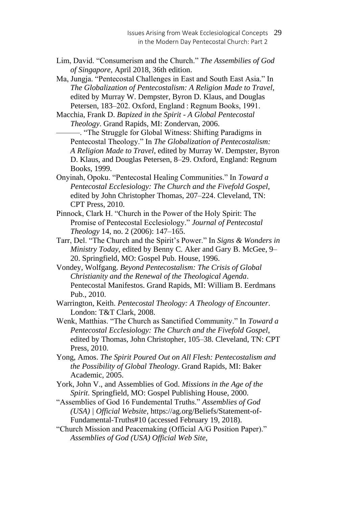Lim, David. "Consumerism and the Church." *The Assembilies of God of Singapore*, April 2018, 36th edition.

Ma, Jungja. "Pentecostal Challenges in East and South East Asia." In *The Globalization of Pentecostalism: A Religion Made to Travel*, edited by Murray W. Dempster, Byron D. Klaus, and Douglas Petersen, 183–202. Oxford, England : Regnum Books, 1991.

Macchia, Frank D. *Bapized in the Spirit - A Global Pentecostal Theology*. Grand Rapids, MI: Zondervan, 2006.

———. "The Struggle for Global Witness: Shifting Paradigms in Pentecostal Theology." In *The Globalization of Pentecostalism: A Religion Made to Travel*, edited by Murray W. Dempster, Byron D. Klaus, and Douglas Petersen, 8–29. Oxford, England: Regnum Books, 1999.

- Onyinah, Opoku. "Pentecostal Healing Communities." In *Toward a Pentecostal Ecclesiology: The Church and the Fivefold Gospel*, edited by John Christopher Thomas, 207–224. Cleveland, TN: CPT Press, 2010.
- Pinnock, Clark H. "Church in the Power of the Holy Spirit: The Promise of Pentecostal Ecclesiology." *Journal of Pentecostal Theology* 14, no. 2 (2006): 147–165.
- Tarr, Del. "The Church and the Spirit's Power." In *Signs & Wonders in Ministry Today*, edited by Benny C. Aker and Gary B. McGee, 9– 20. Springfield, MO: Gospel Pub. House, 1996.
- Vondey, Wolfgang. *Beyond Pentecostalism: The Crisis of Global Christianity and the Renewal of the Theological Agenda*. Pentecostal Manifestos. Grand Rapids, MI: William B. Eerdmans Pub., 2010.
- Warrington, Keith. *Pentecostal Theology: A Theology of Encounter*. London: T&T Clark, 2008.
- Wenk, Matthias. "The Church as Sanctified Community." In *Toward a Pentecostal Ecclesiology: The Church and the Fivefold Gospel*, edited by Thomas, John Christopher, 105–38. Cleveland, TN: CPT Press, 2010.
- Yong, Amos. *The Spirit Poured Out on All Flesh: Pentecostalism and the Possibility of Global Theology*. Grand Rapids, MI: Baker Academic, 2005.
- York, John V., and Assemblies of God. *Missions in the Age of the Spirit*. Springfield, MO: Gospel Publishing House, 2000.
- "Assemblies of God 16 Fundemental Truths." *Assemblies of God (USA) | Official Website,* https://ag.org/Beliefs/Statement-of-Fundamental-Truths#10 (accessed February 19, 2018).
- "Church Mission and Peacemaking (Official A/G Position Paper)." *Assemblies of God (USA) Official Web Site,*